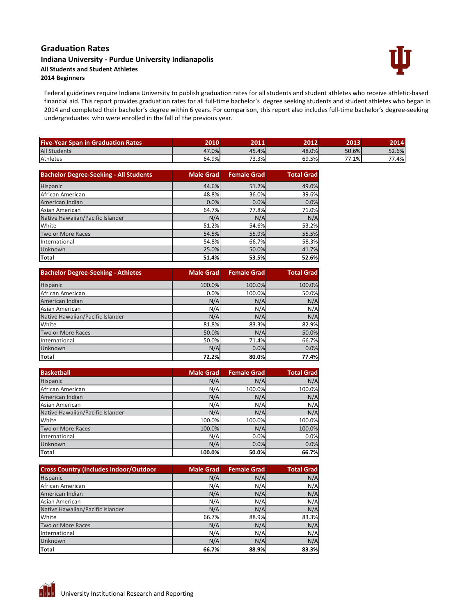## **Graduation Rates Indiana University - Purdue University Indianapolis All Students and Student Athletes 2014 Beginners**



Federal guidelines require Indiana University to publish graduation rates for all students and student athletes who receive athletic-based financial aid. This report provides graduation rates for all full-time bachelor's degree seeking students and student athletes who began in 2014 and completed their bachelor's degree within 6 years. For comparison, this report also includes full-time bachelor's degree-seeking undergraduates who were enrolled in the fall of the previous year.

| <b>Five-Year Span in Graduation Rates</b> | 2010  | 2011          | 2012  | 2013          | 2014   |
|-------------------------------------------|-------|---------------|-------|---------------|--------|
| <b>All Students</b>                       | 47.0% | 45.4%         | 48.0% | 50.6%         | 52.6%  |
| Athletes                                  | 64.9% | $3.3\%$<br>72 | 69.5% | --<br>$.11\%$ | $.4\%$ |

| <b>Bachelor Degree-Seeking - All Students</b> | <b>Male Grad</b> | <b>Female Grad</b> | <b>Total Grad</b> |
|-----------------------------------------------|------------------|--------------------|-------------------|
| Hispanic                                      | 44.6%            | 51.2%              | 49.0%             |
| African American                              | 48.8%            | 36.0%              | 39.6%             |
| American Indian                               | 0.0%             | 0.0%               | 0.0%              |
| Asian American                                | 64.7%            | 77.8%              | 71.0%             |
| Native Hawaiian/Pacific Islander              | N/A              | N/A                | N/A               |
| White                                         | 51.2%            | 54.6%              | 53.2%             |
| Two or More Races                             | 54.5%            | 55.9%              | 55.5%             |
| International                                 | 54.8%            | 66.7%              | 58.3%             |
| <b>Unknown</b>                                | 25.0%            | 50.0%              | 41.7%             |
| <b>Total</b>                                  | 51.4%            | 53.5%              | 52.6%             |

| <b>Bachelor Degree-Seeking - Athletes</b> | Male Grad | <b>Female Grad</b> | <b>Total Grad</b> |
|-------------------------------------------|-----------|--------------------|-------------------|
| Hispanic                                  | 100.0%    | 100.0%             | 100.0%            |
| African American                          | 0.0%      | 100.0%             | 50.0%             |
| American Indian                           | N/A       | N/A                | N/A               |
| Asian American                            | N/A       | N/A                | N/A               |
| Native Hawaiian/Pacific Islander          | N/A       | N/A                | N/A               |
| White                                     | 81.8%     | 83.3%              | 82.9%             |
| Two or More Races                         | 50.0%     | N/A                | 50.0%             |
| International                             | 50.0%     | 71.4%              | 66.7%             |
| Unknown                                   | N/A       | 0.0%               | 0.0%              |
| <b>Total</b>                              | 72.2%     | 80.0%              | 77.4%             |

| <b>Basketball</b>                | <b>Male Grad</b> | <b>Female Grad</b> | <b>Total Grad</b> |
|----------------------------------|------------------|--------------------|-------------------|
| Hispanic                         | N/A              | N/A                | N/A               |
| African American                 | N/A              | 100.0%             | 100.0%            |
| American Indian                  | N/A              | N/A                | N/A               |
| Asian American                   | N/A              | N/A                | N/A               |
| Native Hawaiian/Pacific Islander | N/A              | N/A                | N/A               |
| White                            | 100.0%           | 100.0%             | 100.0%            |
| Two or More Races                | 100.0%           | N/A                | 100.0%            |
| International                    | N/A              | 0.0%               | 0.0%              |
| Unknown                          | N/A              | 0.0%               | 0.0%              |
| <b>Total</b>                     | 100.0%           | 50.0%              | 66.7%             |

| <b>Cross Country (Includes Indoor/Outdoor</b> | <b>Male Grad</b> | <b>Female Grad</b> | <b>Total Grad</b> |
|-----------------------------------------------|------------------|--------------------|-------------------|
| Hispanic                                      | N/A              | N/A                | N/A               |
| African American                              | N/A              | N/A                | N/A               |
| American Indian                               | N/A              | N/A                | N/A               |
| Asian American                                | N/A              | N/A                | N/A               |
| Native Hawaiian/Pacific Islander              | N/A              | N/A                | N/A               |
| White                                         | 66.7%            | 88.9%              | 83.3%             |
| Two or More Races                             | N/A              | N/A                | N/A               |
| International                                 | N/A              | N/A                | N/A               |
| <b>Unknown</b>                                | N/A              | N/A                | N/A               |
| <b>Total</b>                                  | 66.7%            | 88.9%              | 83.3%             |